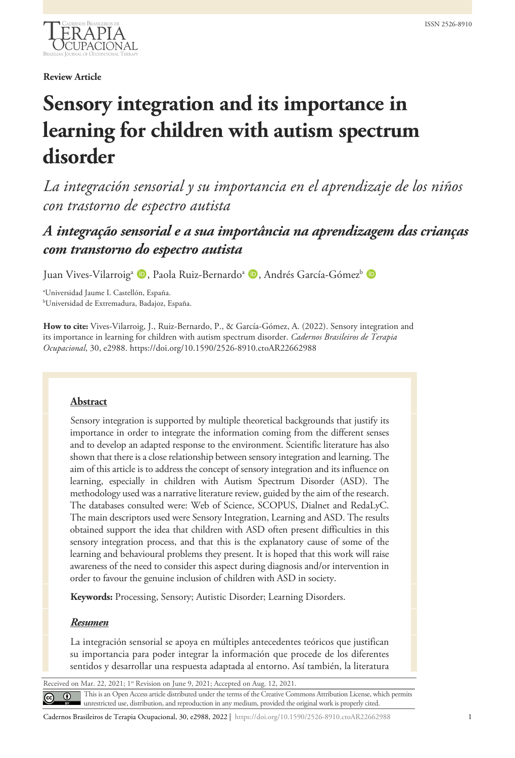

**Review Article**

# **Sensory integration and its importance in learning for children with autism spectrum disorder**

*La integración sensorial y su importancia en el aprendizaje de los niños con trastorno de espectro autista*

# *A integração sensorial e a sua importância na aprendizagem das crianças com transtorno do espectro autista*

Juan Vives-Vilarroig<sup>a</sup> (D, Paola Ruiz-Bernardo<sup>a</sup> (D, Andrés García-Gómez<sup>b</sup> (D

a Universidad Jaume I. Castellón, España. b Universidad de Extremadura, Badajoz, España.

**How to cite:** Vives-Vilarroig, J., Ruiz-Bernardo, P., & García-Gómez, A. (2022). Sensory integration and its importance in learning for children with autism spectrum disorder. *Cadernos Brasileiros de Terapia Ocupacional*, 30, e2988. https://doi.org/10.1590/2526-8910.ctoAR22662988

# **Abstract**

Sensory integration is supported by multiple theoretical backgrounds that justify its importance in order to integrate the information coming from the different senses and to develop an adapted response to the environment. Scientific literature has also shown that there is a close relationship between sensory integration and learning. The aim of this article is to address the concept of sensory integration and its influence on learning, especially in children with Autism Spectrum Disorder (ASD). The methodology used was a narrative literature review, guided by the aim of the research. The databases consulted were: Web of Science, SCOPUS, Dialnet and RedaLyC. The main descriptors used were Sensory Integration, Learning and ASD. The results obtained support the idea that children with ASD often present difficulties in this sensory integration process, and that this is the explanatory cause of some of the learning and behavioural problems they present. It is hoped that this work will raise awareness of the need to consider this aspect during diagnosis and/or intervention in order to favour the genuine inclusion of children with ASD in society.

**Keywords:** Processing, Sensory; Autistic Disorder; Learning Disorders.

# *Resumen*

La integración sensorial se apoya en múltiples antecedentes teóricos que justifican su importancia para poder integrar la información que procede de los diferentes sentidos y desarrollar una respuesta adaptada al entorno. Así también, la literatura

Received on Mar. 22, 2021; 1st Revision on June 9, 2021; Accepted on Aug. 12, 2021

This is an Open Access article distributed under the terms of the Creative Commons Attribution License, which permits unrestricted use, distribution, and reproduction in any medium, provided the original work is properly cited.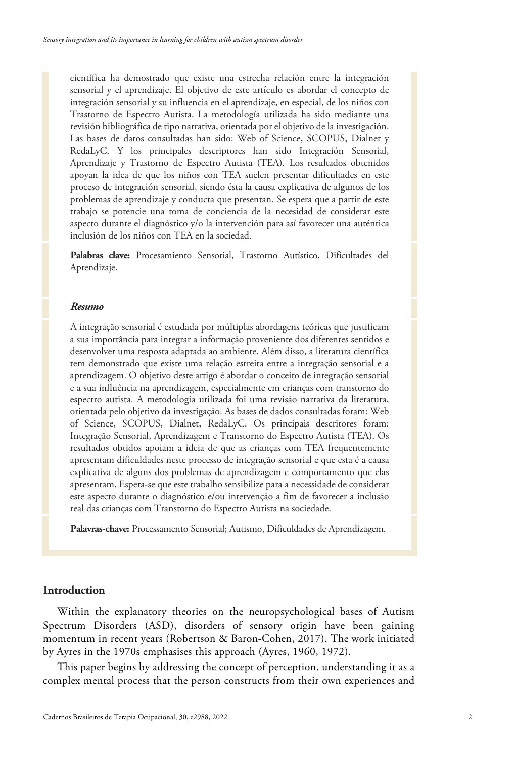científica ha demostrado que existe una estrecha relación entre la integración sensorial y el aprendizaje. El objetivo de este artículo es abordar el concepto de integración sensorial y su influencia en el aprendizaje, en especial, de los niños con Trastorno de Espectro Autista. La metodología utilizada ha sido mediante una revisión bibliográfica de tipo narrativa, orientada por el objetivo de la investigación. Las bases de datos consultadas han sido: Web of Science, SCOPUS, Dialnet y RedaLyC. Y los principales descriptores han sido Integración Sensorial, Aprendizaje y Trastorno de Espectro Autista (TEA). Los resultados obtenidos apoyan la idea de que los niños con TEA suelen presentar dificultades en este proceso de integración sensorial, siendo ésta la causa explicativa de algunos de los problemas de aprendizaje y conducta que presentan. Se espera que a partir de este trabajo se potencie una toma de conciencia de la necesidad de considerar este aspecto durante el diagnóstico y/o la intervención para así favorecer una auténtica inclusión de los niños con TEA en la sociedad.

**Palabras clave:** Procesamiento Sensorial, Trastorno Autístico, Dificultades del Aprendizaje.

#### *Resumo*

A integração sensorial é estudada por múltiplas abordagens teóricas que justificam a sua importância para integrar a informação proveniente dos diferentes sentidos e desenvolver uma resposta adaptada ao ambiente. Além disso, a literatura científica tem demonstrado que existe uma relação estreita entre a integração sensorial e a aprendizagem. O objetivo deste artigo é abordar o conceito de integração sensorial e a sua influência na aprendizagem, especialmente em crianças com transtorno do espectro autista. A metodologia utilizada foi uma revisão narrativa da literatura, orientada pelo objetivo da investigação. As bases de dados consultadas foram: Web of Science, SCOPUS, Dialnet, RedaLyC. Os principais descritores foram: Integração Sensorial, Aprendizagem e Transtorno do Espectro Autista (TEA). Os resultados obtidos apoiam a ideia de que as crianças com TEA frequentemente apresentam dificuldades neste processo de integração sensorial e que esta é a causa explicativa de alguns dos problemas de aprendizagem e comportamento que elas apresentam. Espera-se que este trabalho sensibilize para a necessidade de considerar este aspecto durante o diagnóstico e/ou intervenção a fim de favorecer a inclusão real das crianças com Transtorno do Espectro Autista na sociedade.

**Palavras-chave:** Processamento Sensorial; Autismo, Dificuldades de Aprendizagem.

# **Introduction**

Within the explanatory theories on the neuropsychological bases of Autism Spectrum Disorders (ASD), disorders of sensory origin have been gaining momentum in recent years (Robertson & Baron-Cohen, 2017). The work initiated by Ayres in the 1970s emphasises this approach (Ayres, 1960, 1972).

This paper begins by addressing the concept of perception, understanding it as a complex mental process that the person constructs from their own experiences and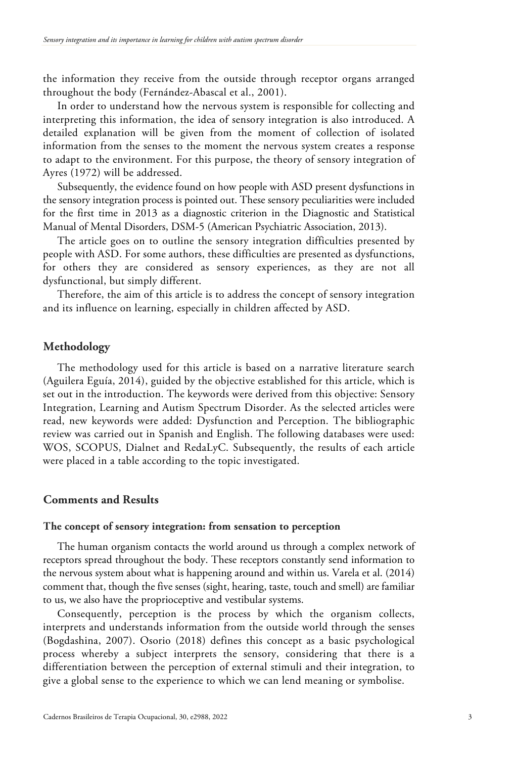the information they receive from the outside through receptor organs arranged throughout the body (Fernández-Abascal et al., 2001).

In order to understand how the nervous system is responsible for collecting and interpreting this information, the idea of sensory integration is also introduced. A detailed explanation will be given from the moment of collection of isolated information from the senses to the moment the nervous system creates a response to adapt to the environment. For this purpose, the theory of sensory integration of Ayres (1972) will be addressed.

Subsequently, the evidence found on how people with ASD present dysfunctions in the sensory integration process is pointed out. These sensory peculiarities were included for the first time in 2013 as a diagnostic criterion in the Diagnostic and Statistical Manual of Mental Disorders, DSM-5 (American Psychiatric Association, 2013).

The article goes on to outline the sensory integration difficulties presented by people with ASD. For some authors, these difficulties are presented as dysfunctions, for others they are considered as sensory experiences, as they are not all dysfunctional, but simply different.

Therefore, the aim of this article is to address the concept of sensory integration and its influence on learning, especially in children affected by ASD.

#### **Methodology**

The methodology used for this article is based on a narrative literature search (Aguilera Eguía, 2014), guided by the objective established for this article, which is set out in the introduction. The keywords were derived from this objective: Sensory Integration, Learning and Autism Spectrum Disorder. As the selected articles were read, new keywords were added: Dysfunction and Perception. The bibliographic review was carried out in Spanish and English. The following databases were used: WOS, SCOPUS, Dialnet and RedaLyC. Subsequently, the results of each article were placed in a table according to the topic investigated.

# **Comments and Results**

### **The concept of sensory integration: from sensation to perception**

The human organism contacts the world around us through a complex network of receptors spread throughout the body. These receptors constantly send information to the nervous system about what is happening around and within us. Varela et al. (2014) comment that, though the five senses (sight, hearing, taste, touch and smell) are familiar to us, we also have the proprioceptive and vestibular systems.

Consequently, perception is the process by which the organism collects, interprets and understands information from the outside world through the senses (Bogdashina, 2007). Osorio (2018) defines this concept as a basic psychological process whereby a subject interprets the sensory, considering that there is a differentiation between the perception of external stimuli and their integration, to give a global sense to the experience to which we can lend meaning or symbolise.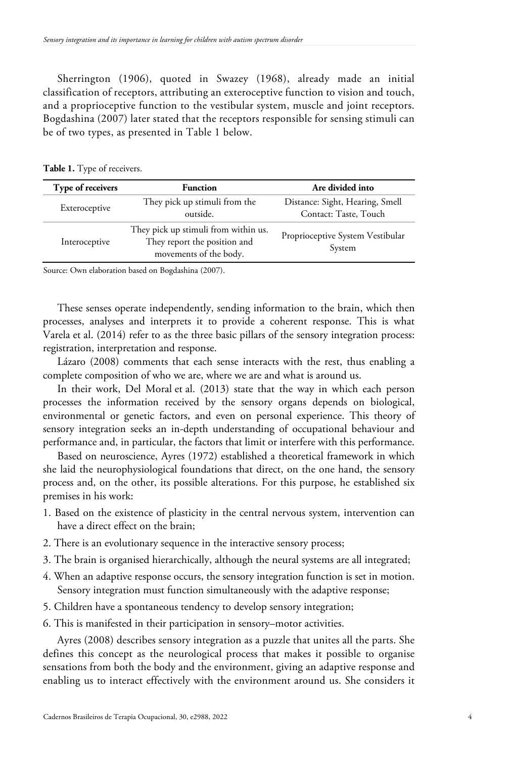Sherrington (1906), quoted in Swazey (1968), already made an initial classification of receptors, attributing an exteroceptive function to vision and touch, and a proprioceptive function to the vestibular system, muscle and joint receptors. Bogdashina (2007) later stated that the receptors responsible for sensing stimuli can be of two types, as presented in Table 1 below.

| Table 1. Type of receivers. |  |  |
|-----------------------------|--|--|
|-----------------------------|--|--|

| Type of receivers | <b>Function</b>                                                                                | Are divided into                                         |
|-------------------|------------------------------------------------------------------------------------------------|----------------------------------------------------------|
| Exteroceptive     | They pick up stimuli from the<br>outside.                                                      | Distance: Sight, Hearing, Smell<br>Contact: Taste, Touch |
| Interoceptive     | They pick up stimuli from within us.<br>They report the position and<br>movements of the body. | Proprioceptive System Vestibular<br>System               |

Source: Own elaboration based on Bogdashina (2007).

These senses operate independently, sending information to the brain, which then processes, analyses and interprets it to provide a coherent response. This is what Varela et al. (2014) refer to as the three basic pillars of the sensory integration process: registration, interpretation and response.

Lázaro (2008) comments that each sense interacts with the rest, thus enabling a complete composition of who we are, where we are and what is around us.

In their work, Del Moral et al. (2013) state that the way in which each person processes the information received by the sensory organs depends on biological, environmental or genetic factors, and even on personal experience. This theory of sensory integration seeks an in-depth understanding of occupational behaviour and performance and, in particular, the factors that limit or interfere with this performance.

Based on neuroscience, Ayres (1972) established a theoretical framework in which she laid the neurophysiological foundations that direct, on the one hand, the sensory process and, on the other, its possible alterations. For this purpose, he established six premises in his work:

- 1. Based on the existence of plasticity in the central nervous system, intervention can have a direct effect on the brain;
- 2. There is an evolutionary sequence in the interactive sensory process;
- 3. The brain is organised hierarchically, although the neural systems are all integrated;
- 4. When an adaptive response occurs, the sensory integration function is set in motion. Sensory integration must function simultaneously with the adaptive response;
- 5. Children have a spontaneous tendency to develop sensory integration;
- 6. This is manifested in their participation in sensory–motor activities.

Ayres (2008) describes sensory integration as a puzzle that unites all the parts. She defines this concept as the neurological process that makes it possible to organise sensations from both the body and the environment, giving an adaptive response and enabling us to interact effectively with the environment around us. She considers it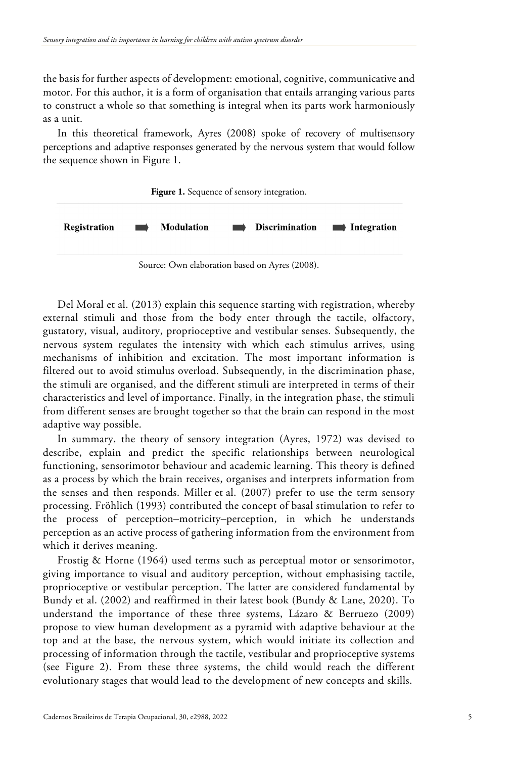the basis for further aspects of development: emotional, cognitive, communicative and motor. For this author, it is a form of organisation that entails arranging various parts to construct a whole so that something is integral when its parts work harmoniously as a unit.

In this theoretical framework, Ayres (2008) spoke of recovery of multisensory perceptions and adaptive responses generated by the nervous system that would follow the sequence shown in Figure 1.



Source: Own elaboration based on Ayres (2008).

Del Moral et al. (2013) explain this sequence starting with registration, whereby external stimuli and those from the body enter through the tactile, olfactory, gustatory, visual, auditory, proprioceptive and vestibular senses. Subsequently, the nervous system regulates the intensity with which each stimulus arrives, using mechanisms of inhibition and excitation. The most important information is filtered out to avoid stimulus overload. Subsequently, in the discrimination phase, the stimuli are organised, and the different stimuli are interpreted in terms of their characteristics and level of importance. Finally, in the integration phase, the stimuli from different senses are brought together so that the brain can respond in the most adaptive way possible.

In summary, the theory of sensory integration (Ayres, 1972) was devised to describe, explain and predict the specific relationships between neurological functioning, sensorimotor behaviour and academic learning. This theory is defined as a process by which the brain receives, organises and interprets information from the senses and then responds. Miller et al. (2007) prefer to use the term sensory processing. Fröhlich (1993) contributed the concept of basal stimulation to refer to the process of perception–motricity–perception, in which he understands perception as an active process of gathering information from the environment from which it derives meaning.

Frostig & Horne (1964) used terms such as perceptual motor or sensorimotor, giving importance to visual and auditory perception, without emphasising tactile, proprioceptive or vestibular perception. The latter are considered fundamental by Bundy et al. (2002) and reaffirmed in their latest book (Bundy & Lane, 2020). To understand the importance of these three systems, Lázaro & Berruezo (2009) propose to view human development as a pyramid with adaptive behaviour at the top and at the base, the nervous system, which would initiate its collection and processing of information through the tactile, vestibular and proprioceptive systems (see Figure 2). From these three systems, the child would reach the different evolutionary stages that would lead to the development of new concepts and skills.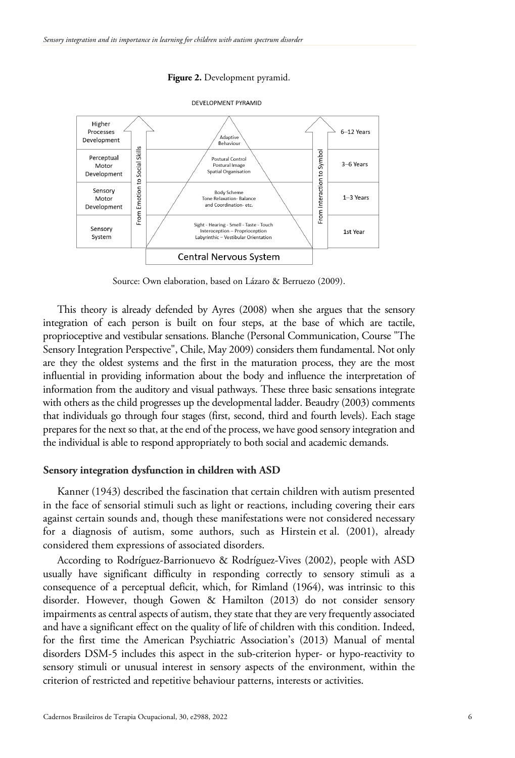#### **Figure 2.** Development pyramid.



DEVELOPMENT PYRAMID

Source: Own elaboration, based on Lázaro & Berruezo (2009).

This theory is already defended by Ayres (2008) when she argues that the sensory integration of each person is built on four steps, at the base of which are tactile, proprioceptive and vestibular sensations. Blanche (Personal Communication, Course "The Sensory Integration Perspective", Chile, May 2009) considers them fundamental. Not only are they the oldest systems and the first in the maturation process, they are the most influential in providing information about the body and influence the interpretation of information from the auditory and visual pathways. These three basic sensations integrate with others as the child progresses up the developmental ladder. Beaudry (2003) comments that individuals go through four stages (first, second, third and fourth levels). Each stage prepares for the next so that, at the end of the process, we have good sensory integration and the individual is able to respond appropriately to both social and academic demands.

#### **Sensory integration dysfunction in children with ASD**

Kanner (1943) described the fascination that certain children with autism presented in the face of sensorial stimuli such as light or reactions, including covering their ears against certain sounds and, though these manifestations were not considered necessary for a diagnosis of autism, some authors, such as Hirstein et al. (2001), already considered them expressions of associated disorders.

According to Rodríguez-Barrionuevo & Rodríguez-Vives (2002), people with ASD usually have significant difficulty in responding correctly to sensory stimuli as a consequence of a perceptual deficit, which, for Rimland (1964), was intrinsic to this disorder. However, though Gowen & Hamilton (2013) do not consider sensory impairments as central aspects of autism, they state that they are very frequently associated and have a significant effect on the quality of life of children with this condition. Indeed, for the first time the American Psychiatric Association's (2013) Manual of mental disorders DSM-5 includes this aspect in the sub-criterion hyper- or hypo-reactivity to sensory stimuli or unusual interest in sensory aspects of the environment, within the criterion of restricted and repetitive behaviour patterns, interests or activities.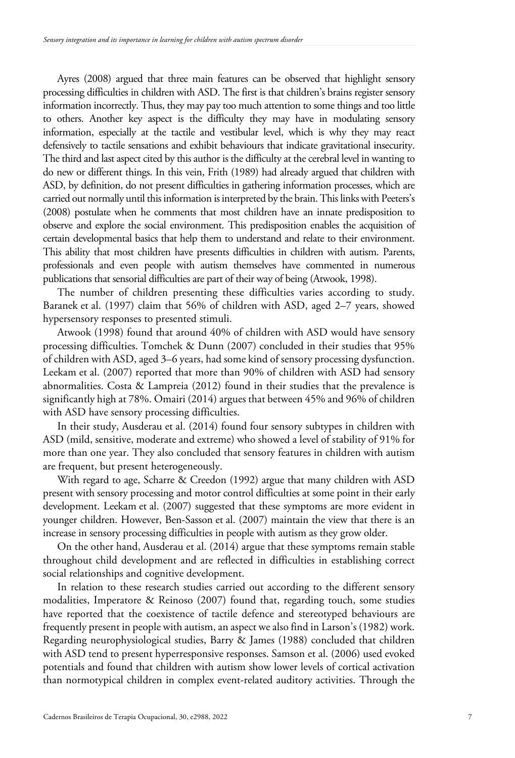Ayres (2008) argued that three main features can be observed that highlight sensory processing difficulties in children with ASD. The first is that children's brains register sensory information incorrectly. Thus, they may pay too much attention to some things and too little to others. Another key aspect is the difficulty they may have in modulating sensory information, especially at the tactile and vestibular level, which is why they may react defensively to tactile sensations and exhibit behaviours that indicate gravitational insecurity. The third and last aspect cited by this author is the difficulty at the cerebral level in wanting to do new or different things. In this vein, Frith (1989) had already argued that children with ASD, by definition, do not present difficulties in gathering information processes, which are carried out normally until this information is interpreted by the brain. This links with Peeters's (2008) postulate when he comments that most children have an innate predisposition to observe and explore the social environment. This predisposition enables the acquisition of certain developmental basics that help them to understand and relate to their environment. This ability that most children have presents difficulties in children with autism. Parents, professionals and even people with autism themselves have commented in numerous publications that sensorial difficulties are part of their way of being (Atwook, 1998).

The number of children presenting these difficulties varies according to study. Baranek et al. (1997) claim that 56% of children with ASD, aged 2–7 years, showed hypersensory responses to presented stimuli.

Atwook (1998) found that around 40% of children with ASD would have sensory processing difficulties. Tomchek & Dunn (2007) concluded in their studies that 95% of children with ASD, aged 3–6 years, had some kind of sensory processing dysfunction. Leekam et al. (2007) reported that more than 90% of children with ASD had sensory abnormalities. Costa & Lampreia (2012) found in their studies that the prevalence is significantly high at 78%. Omairi (2014) argues that between 45% and 96% of children with ASD have sensory processing difficulties.

In their study, Ausderau et al. (2014) found four sensory subtypes in children with ASD (mild, sensitive, moderate and extreme) who showed a level of stability of 91% for more than one year. They also concluded that sensory features in children with autism are frequent, but present heterogeneously.

With regard to age, Scharre & Creedon (1992) argue that many children with ASD present with sensory processing and motor control difficulties at some point in their early development. Leekam et al. (2007) suggested that these symptoms are more evident in younger children. However, Ben-Sasson et al. (2007) maintain the view that there is an increase in sensory processing difficulties in people with autism as they grow older.

On the other hand, Ausderau et al. (2014) argue that these symptoms remain stable throughout child development and are reflected in difficulties in establishing correct social relationships and cognitive development.

In relation to these research studies carried out according to the different sensory modalities, Imperatore & Reinoso (2007) found that, regarding touch, some studies have reported that the coexistence of tactile defence and stereotyped behaviours are frequently present in people with autism, an aspect we also find in Larson's (1982) work. Regarding neurophysiological studies, Barry & James (1988) concluded that children with ASD tend to present hyperresponsive responses. Samson et al. (2006) used evoked potentials and found that children with autism show lower levels of cortical activation than normotypical children in complex event-related auditory activities. Through the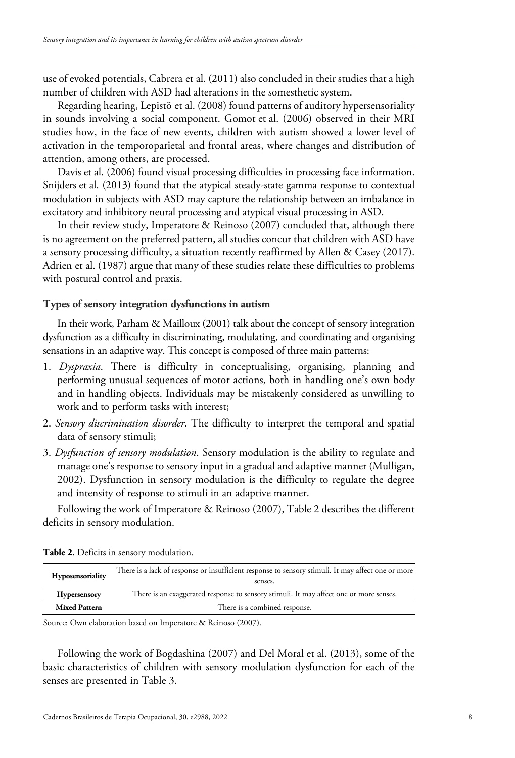use of evoked potentials, Cabrera et al. (2011) also concluded in their studies that a high number of children with ASD had alterations in the somesthetic system.

Regarding hearing, Lepistö et al. (2008) found patterns of auditory hypersensoriality in sounds involving a social component. Gomot et al. (2006) observed in their MRI studies how, in the face of new events, children with autism showed a lower level of activation in the temporoparietal and frontal areas, where changes and distribution of attention, among others, are processed.

Davis et al. (2006) found visual processing difficulties in processing face information. Snijders et al. (2013) found that the atypical steady-state gamma response to contextual modulation in subjects with ASD may capture the relationship between an imbalance in excitatory and inhibitory neural processing and atypical visual processing in ASD.

In their review study, Imperatore & Reinoso (2007) concluded that, although there is no agreement on the preferred pattern, all studies concur that children with ASD have a sensory processing difficulty, a situation recently reaffirmed by Allen & Casey (2017). Adrien et al. (1987) argue that many of these studies relate these difficulties to problems with postural control and praxis.

#### **Types of sensory integration dysfunctions in autism**

In their work, Parham & Mailloux (2001) talk about the concept of sensory integration dysfunction as a difficulty in discriminating, modulating, and coordinating and organising sensations in an adaptive way. This concept is composed of three main patterns:

- 1. *Dyspraxia*. There is difficulty in conceptualising, organising, planning and performing unusual sequences of motor actions, both in handling one's own body and in handling objects. Individuals may be mistakenly considered as unwilling to work and to perform tasks with interest;
- 2. *Sensory discrimination disorder*. The difficulty to interpret the temporal and spatial data of sensory stimuli;
- 3. *Dysfunction of sensory modulation*. Sensory modulation is the ability to regulate and manage one's response to sensory input in a gradual and adaptive manner (Mulligan, 2002). Dysfunction in sensory modulation is the difficulty to regulate the degree and intensity of response to stimuli in an adaptive manner.

Following the work of Imperatore & Reinoso (2007), Table 2 describes the different deficits in sensory modulation.

| Hyposensoriality     | There is a lack of response or insufficient response to sensory stimuli. It may affect one or more<br>senses. |  |
|----------------------|---------------------------------------------------------------------------------------------------------------|--|
| <b>Hypersensory</b>  | There is an exaggerated response to sensory stimuli. It may affect one or more senses.                        |  |
| <b>Mixed Pattern</b> | There is a combined response.                                                                                 |  |

**Table 2.** Deficits in sensory modulation.

Source: Own elaboration based on Imperatore & Reinoso (2007).

Following the work of Bogdashina (2007) and Del Moral et al. (2013), some of the basic characteristics of children with sensory modulation dysfunction for each of the senses are presented in Table 3.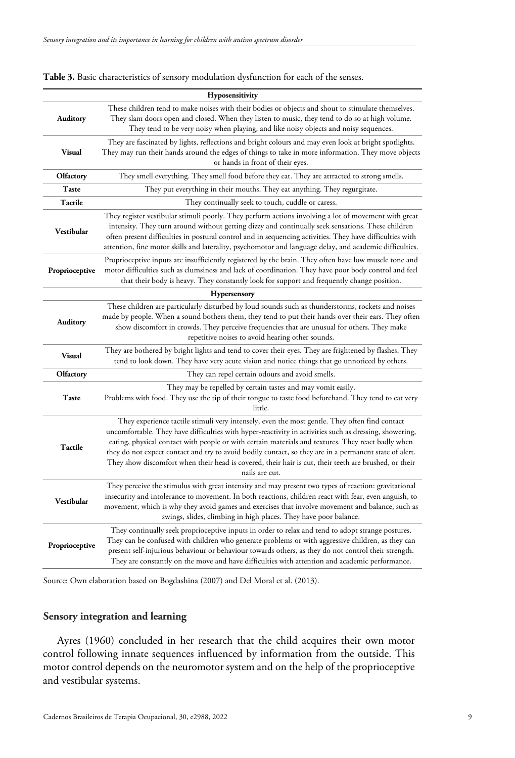|                   | <b>Hyposensitivity</b>                                                                                                                                                                                                                                                                                                                                                                                                                                                                                                                             |
|-------------------|----------------------------------------------------------------------------------------------------------------------------------------------------------------------------------------------------------------------------------------------------------------------------------------------------------------------------------------------------------------------------------------------------------------------------------------------------------------------------------------------------------------------------------------------------|
| <b>Auditory</b>   | These children tend to make noises with their bodies or objects and shout to stimulate themselves.<br>They slam doors open and closed. When they listen to music, they tend to do so at high volume.<br>They tend to be very noisy when playing, and like noisy objects and noisy sequences.                                                                                                                                                                                                                                                       |
| <b>Visual</b>     | They are fascinated by lights, reflections and bright colours and may even look at bright spotlights.<br>They may run their hands around the edges of things to take in more information. They move objects<br>or hands in front of their eyes.                                                                                                                                                                                                                                                                                                    |
| Olfactory         | They smell everything. They smell food before they eat. They are attracted to strong smells.                                                                                                                                                                                                                                                                                                                                                                                                                                                       |
| Taste             | They put everything in their mouths. They eat anything. They regurgitate.                                                                                                                                                                                                                                                                                                                                                                                                                                                                          |
| Tactile           | They continually seek to touch, cuddle or caress.                                                                                                                                                                                                                                                                                                                                                                                                                                                                                                  |
| Vestibular        | They register vestibular stimuli poorly. They perform actions involving a lot of movement with great<br>intensity. They turn around without getting dizzy and continually seek sensations. These children<br>often present difficulties in postural control and in sequencing activities. They have difficulties with<br>attention, fine motor skills and laterality, psychomotor and language delay, and academic difficulties.                                                                                                                   |
| Proprioceptive    | Proprioceptive inputs are insufficiently registered by the brain. They often have low muscle tone and<br>motor difficulties such as clumsiness and lack of coordination. They have poor body control and feel<br>that their body is heavy. They constantly look for support and frequently change position.                                                                                                                                                                                                                                        |
|                   | Hypersensory                                                                                                                                                                                                                                                                                                                                                                                                                                                                                                                                       |
| Auditory          | These children are particularly disturbed by loud sounds such as thunderstorms, rockets and noises<br>made by people. When a sound bothers them, they tend to put their hands over their ears. They often<br>show discomfort in crowds. They perceive frequencies that are unusual for others. They make<br>repetitive noises to avoid hearing other sounds.                                                                                                                                                                                       |
| <b>Visual</b>     | They are bothered by bright lights and tend to cover their eyes. They are frightened by flashes. They<br>tend to look down. They have very acute vision and notice things that go unnoticed by others.                                                                                                                                                                                                                                                                                                                                             |
| Olfactory         | They can repel certain odours and avoid smells.                                                                                                                                                                                                                                                                                                                                                                                                                                                                                                    |
| Taste             | They may be repelled by certain tastes and may vomit easily.<br>Problems with food. They use the tip of their tongue to taste food beforehand. They tend to eat very<br>little.                                                                                                                                                                                                                                                                                                                                                                    |
| Tactile           | They experience tactile stimuli very intensely, even the most gentle. They often find contact<br>uncomfortable. They have difficulties with hyper-reactivity in activities such as dressing, showering,<br>eating, physical contact with people or with certain materials and textures. They react badly when<br>they do not expect contact and try to avoid bodily contact, so they are in a permanent state of alert.<br>They show discomfort when their head is covered, their hair is cut, their teeth are brushed, or their<br>nails are cut. |
| <b>Vestibular</b> | They perceive the stimulus with great intensity and may present two types of reaction: gravitational<br>insecurity and intolerance to movement. In both reactions, children react with fear, even anguish, to<br>movement, which is why they avoid games and exercises that involve movement and balance, such as<br>swings, slides, climbing in high places. They have poor balance.                                                                                                                                                              |
| Proprioceptive    | They continually seek proprioceptive inputs in order to relax and tend to adopt strange postures.<br>They can be confused with children who generate problems or with aggressive children, as they can<br>present self-injurious behaviour or behaviour towards others, as they do not control their strength.<br>They are constantly on the move and have difficulties with attention and academic performance.                                                                                                                                   |

#### **Table 3.** Basic characteristics of sensory modulation dysfunction for each of the senses.

Source: Own elaboration based on Bogdashina (2007) and Del Moral et al. (2013).

#### **Sensory integration and learning**

Ayres (1960) concluded in her research that the child acquires their own motor control following innate sequences influenced by information from the outside. This motor control depends on the neuromotor system and on the help of the proprioceptive and vestibular systems.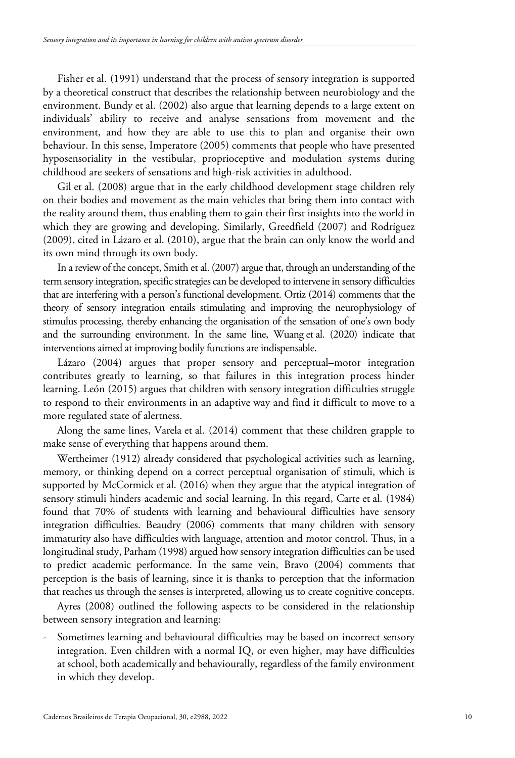Fisher et al. (1991) understand that the process of sensory integration is supported by a theoretical construct that describes the relationship between neurobiology and the environment. Bundy et al. (2002) also argue that learning depends to a large extent on individuals' ability to receive and analyse sensations from movement and the environment, and how they are able to use this to plan and organise their own behaviour. In this sense, Imperatore (2005) comments that people who have presented hyposensoriality in the vestibular, proprioceptive and modulation systems during childhood are seekers of sensations and high-risk activities in adulthood.

Gil et al. (2008) argue that in the early childhood development stage children rely on their bodies and movement as the main vehicles that bring them into contact with the reality around them, thus enabling them to gain their first insights into the world in which they are growing and developing. Similarly, Greedfield (2007) and Rodríguez (2009), cited in Lázaro et al. (2010), argue that the brain can only know the world and its own mind through its own body.

In a review of the concept, Smith et al. (2007) argue that, through an understanding of the term sensory integration, specific strategies can be developed to intervene in sensory difficulties that are interfering with a person's functional development. Ortiz (2014) comments that the theory of sensory integration entails stimulating and improving the neurophysiology of stimulus processing, thereby enhancing the organisation of the sensation of one's own body and the surrounding environment. In the same line, Wuang et al. (2020) indicate that interventions aimed at improving bodily functions are indispensable.

Lázaro (2004) argues that proper sensory and perceptual–motor integration contributes greatly to learning, so that failures in this integration process hinder learning. León (2015) argues that children with sensory integration difficulties struggle to respond to their environments in an adaptive way and find it difficult to move to a more regulated state of alertness.

Along the same lines, Varela et al. (2014) comment that these children grapple to make sense of everything that happens around them.

Wertheimer (1912) already considered that psychological activities such as learning, memory, or thinking depend on a correct perceptual organisation of stimuli, which is supported by McCormick et al. (2016) when they argue that the atypical integration of sensory stimuli hinders academic and social learning. In this regard, Carte et al. (1984) found that 70% of students with learning and behavioural difficulties have sensory integration difficulties. Beaudry (2006) comments that many children with sensory immaturity also have difficulties with language, attention and motor control. Thus, in a longitudinal study, Parham (1998) argued how sensory integration difficulties can be used to predict academic performance. In the same vein, Bravo (2004) comments that perception is the basis of learning, since it is thanks to perception that the information that reaches us through the senses is interpreted, allowing us to create cognitive concepts.

Ayres (2008) outlined the following aspects to be considered in the relationship between sensory integration and learning:

Sometimes learning and behavioural difficulties may be based on incorrect sensory integration. Even children with a normal IQ, or even higher, may have difficulties at school, both academically and behaviourally, regardless of the family environment in which they develop.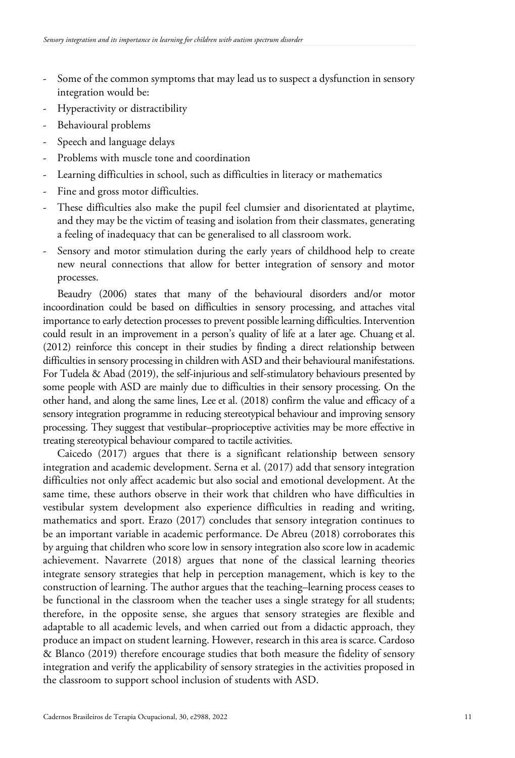- Some of the common symptoms that may lead us to suspect a dysfunction in sensory integration would be:
- Hyperactivity or distractibility
- Behavioural problems
- Speech and language delays
- Problems with muscle tone and coordination
- Learning difficulties in school, such as difficulties in literacy or mathematics
- Fine and gross motor difficulties.
- These difficulties also make the pupil feel clumsier and disorientated at playtime, and they may be the victim of teasing and isolation from their classmates, generating a feeling of inadequacy that can be generalised to all classroom work.
- Sensory and motor stimulation during the early years of childhood help to create new neural connections that allow for better integration of sensory and motor processes.

Beaudry (2006) states that many of the behavioural disorders and/or motor incoordination could be based on difficulties in sensory processing, and attaches vital importance to early detection processes to prevent possible learning difficulties. Intervention could result in an improvement in a person's quality of life at a later age. Chuang et al. (2012) reinforce this concept in their studies by finding a direct relationship between difficulties in sensory processing in children with ASD and their behavioural manifestations. For Tudela & Abad (2019), the self-injurious and self-stimulatory behaviours presented by some people with ASD are mainly due to difficulties in their sensory processing. On the other hand, and along the same lines, Lee et al. (2018) confirm the value and efficacy of a sensory integration programme in reducing stereotypical behaviour and improving sensory processing. They suggest that vestibular–proprioceptive activities may be more effective in treating stereotypical behaviour compared to tactile activities.

Caicedo (2017) argues that there is a significant relationship between sensory integration and academic development. Serna et al. (2017) add that sensory integration difficulties not only affect academic but also social and emotional development. At the same time, these authors observe in their work that children who have difficulties in vestibular system development also experience difficulties in reading and writing, mathematics and sport. Erazo (2017) concludes that sensory integration continues to be an important variable in academic performance. De Abreu (2018) corroborates this by arguing that children who score low in sensory integration also score low in academic achievement. Navarrete (2018) argues that none of the classical learning theories integrate sensory strategies that help in perception management, which is key to the construction of learning. The author argues that the teaching–learning process ceases to be functional in the classroom when the teacher uses a single strategy for all students; therefore, in the opposite sense, she argues that sensory strategies are flexible and adaptable to all academic levels, and when carried out from a didactic approach, they produce an impact on student learning. However, research in this area is scarce. Cardoso & Blanco (2019) therefore encourage studies that both measure the fidelity of sensory integration and verify the applicability of sensory strategies in the activities proposed in the classroom to support school inclusion of students with ASD.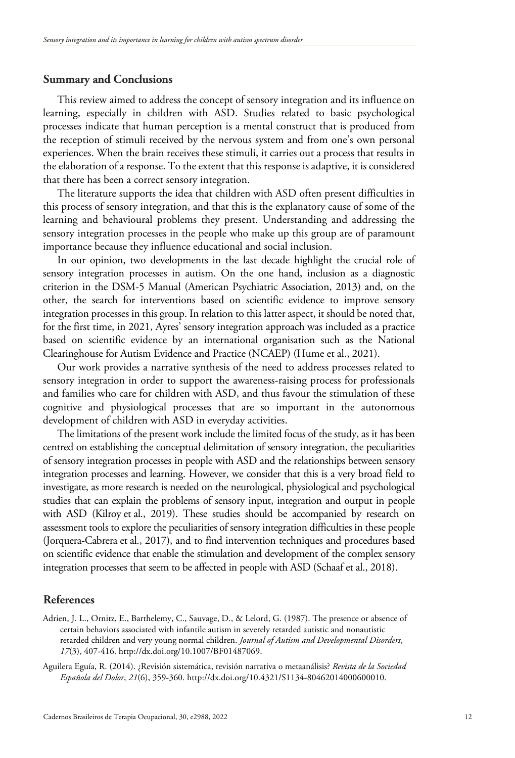# **Summary and Conclusions**

This review aimed to address the concept of sensory integration and its influence on learning, especially in children with ASD. Studies related to basic psychological processes indicate that human perception is a mental construct that is produced from the reception of stimuli received by the nervous system and from one's own personal experiences. When the brain receives these stimuli, it carries out a process that results in the elaboration of a response. To the extent that this response is adaptive, it is considered that there has been a correct sensory integration.

The literature supports the idea that children with ASD often present difficulties in this process of sensory integration, and that this is the explanatory cause of some of the learning and behavioural problems they present. Understanding and addressing the sensory integration processes in the people who make up this group are of paramount importance because they influence educational and social inclusion.

In our opinion, two developments in the last decade highlight the crucial role of sensory integration processes in autism. On the one hand, inclusion as a diagnostic criterion in the DSM-5 Manual (American Psychiatric Association, 2013) and, on the other, the search for interventions based on scientific evidence to improve sensory integration processes in this group. In relation to this latter aspect, it should be noted that, for the first time, in 2021, Ayres' sensory integration approach was included as a practice based on scientific evidence by an international organisation such as the National Clearinghouse for Autism Evidence and Practice (NCAEP) (Hume et al., 2021).

Our work provides a narrative synthesis of the need to address processes related to sensory integration in order to support the awareness-raising process for professionals and families who care for children with ASD, and thus favour the stimulation of these cognitive and physiological processes that are so important in the autonomous development of children with ASD in everyday activities.

The limitations of the present work include the limited focus of the study, as it has been centred on establishing the conceptual delimitation of sensory integration, the peculiarities of sensory integration processes in people with ASD and the relationships between sensory integration processes and learning. However, we consider that this is a very broad field to investigate, as more research is needed on the neurological, physiological and psychological studies that can explain the problems of sensory input, integration and output in people with ASD (Kilroy et al., 2019). These studies should be accompanied by research on assessment tools to explore the peculiarities of sensory integration difficulties in these people (Jorquera-Cabrera et al., 2017), and to find intervention techniques and procedures based on scientific evidence that enable the stimulation and development of the complex sensory integration processes that seem to be affected in people with ASD (Schaaf et al., 2018).

# **References**

Adrien, J. L., Ornitz, E., Barthelemy, C., Sauvage, D., & Lelord, G. (1987). The presence or absence of certain behaviors associated with infantile autism in severely retarded autistic and nonautistic retarded children and very young normal children. *Journal of Autism and Developmental Disorders*, *17*(3), 407-416. http://dx.doi.org/10.1007/BF01487069.

Aguilera Eguía, R. (2014). ¿Revisión sistemática, revisión narrativa o metaanálisis? *Revista de la Sociedad Española del Dolor*, *21*(6), 359-360. http://dx.doi.org/10.4321/S1134-80462014000600010.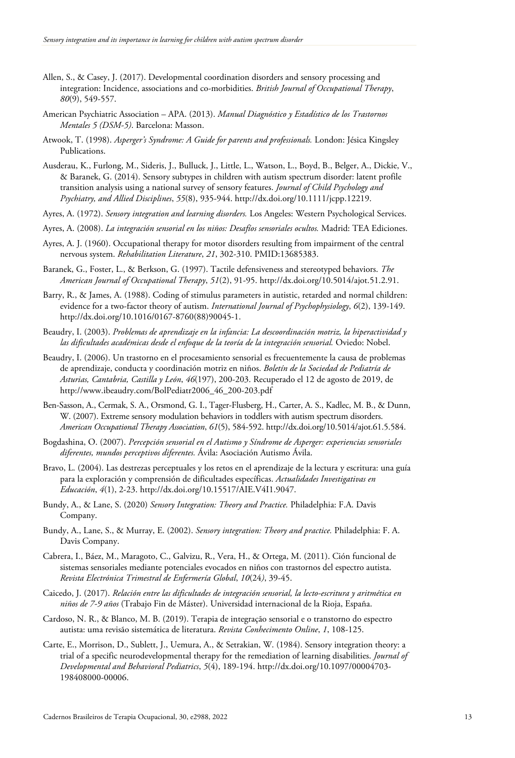- Allen, S., & Casey, J. (2017). Developmental coordination disorders and sensory processing and integration: Incidence, associations and co-morbidities. *British Journal of Occupational Therapy*, *80*(9), 549-557.
- American Psychiatric Association APA. (2013). *Manual Diagnóstico y Estadístico de los Trastornos Mentales 5 (DSM-5)*. Barcelona: Masson.
- Atwook, T. (1998). *Asperger's Syndrome: A Guide for parents and professionals.* London: Jésica Kingsley Publications.
- Ausderau, K., Furlong, M., Sideris, J., Bulluck, J., Little, L., Watson, L., Boyd, B., Belger, A., Dickie, V., & Baranek, G. (2014). Sensory subtypes in children with autism spectrum disorder: latent profile transition analysis using a national survey of sensory features. *Journal of Child Psychology and Psychiatry, and Allied Disciplines*, *55*(8), 935-944. http://dx.doi.org/10.1111/jcpp.12219.
- Ayres, A. (1972). *Sensory integration and learning disorders.* Los Angeles: Western Psychological Services.
- Ayres, A. (2008). *La integración sensorial en los niños: Desafíos sensoriales ocultos.* Madrid: TEA Ediciones.
- Ayres, A. J. (1960). Occupational therapy for motor disorders resulting from impairment of the central nervous system. *Rehabilitation Literature*, *21*, 302-310. PMID:13685383.
- Baranek, G., Foster, L., & Berkson, G. (1997). Tactile defensiveness and stereotyped behaviors. *The American Journal of Occupational Therapy*, *51*(2), 91-95. http://dx.doi.org/10.5014/ajot.51.2.91.
- Barry, R., & James, A. (1988). Coding of stimulus parameters in autistic, retarded and normal children: evidence for a two-factor theory of autism. *International Journal of Psychophysiology*, *6*(2), 139-149. http://dx.doi.org/10.1016/0167-8760(88)90045-1.
- Beaudry, I. (2003). *Problemas de aprendizaje en la infancia: La descoordinación motriz, la hiperactividad y las dificultades académicas desde el enfoque de la teoría de la integración sensorial.* Oviedo: Nobel.
- Beaudry, I. (2006). Un trastorno en el procesamiento sensorial es frecuentemente la causa de problemas de aprendizaje, conducta y coordinación motriz en niños. *Boletín de la Sociedad de Pediatría de Asturias, Cantabria, Castilla y León*, *46*(197), 200-203. Recuperado el 12 de agosto de 2019, de http://www.ibeaudry.com/BolPediatr2006\_46\_200-203.pdf
- Ben-Sasson, A., Cermak, S. A., Orsmond, G. I., Tager-Flusberg, H., Carter, A. S., Kadlec, M. B., & Dunn, W. (2007). Extreme sensory modulation behaviors in toddlers with autism spectrum disorders. *American Occupational Therapy Association*, *61*(5), 584-592. http://dx.doi.org/10.5014/ajot.61.5.584.
- Bogdashina, O. (2007). *Percepción sensorial en el Autismo y Síndrome de Asperger: experiencias sensoriales diferentes, mundos perceptivos diferentes.* Ávila: Asociación Autismo Ávila.
- Bravo, L. (2004). Las destrezas perceptuales y los retos en el aprendizaje de la lectura y escritura: una guía para la exploración y comprensión de dificultades específicas. *Actualidades Investigativas en Educación*, *4*(1), 2-23. http://dx.doi.org/10.15517/AIE.V4I1.9047.
- Bundy, A., & Lane, S. (2020) *Sensory Integration: Theory and Practice.* Philadelphia: F.A. Davis Company.
- Bundy, A., Lane, S., & Murray, E. (2002). *Sensory integration: Theory and practice.* Philadelphia: F. A. Davis Company.
- Cabrera, I., Báez, M., Maragoto, C., Galvizu, R., Vera, H., & Ortega, M. (2011). Ción funcional de sistemas sensoriales mediante potenciales evocados en niños con trastornos del espectro autista. *Revista Electrónica Trimestral de Enfermería Global*, *10*(24*)*, 39-45.
- Caicedo, J. (2017). *Relación entre las dificultades de integración sensorial, la lecto-escritura y aritmética en niños de 7-9 años* (Trabajo Fin de Máster). Universidad internacional de la Rioja, España.
- Cardoso, N. R., & Blanco, M. B. (2019). Terapia de integração sensorial e o transtorno do espectro autista: uma revisão sistemática de literatura. *Revista Conhecimento Online*, *1*, 108-125.
- Carte, E., Morrison, D., Sublett, J., Uemura, A., & Setrakian, W. (1984). Sensory integration theory: a trial of a specific neurodevelopmental therapy for the remediation of learning disabilities. *Journal of Developmental and Behavioral Pediatrics*, *5*(4), 189-194. http://dx.doi.org/10.1097/00004703- 198408000-00006.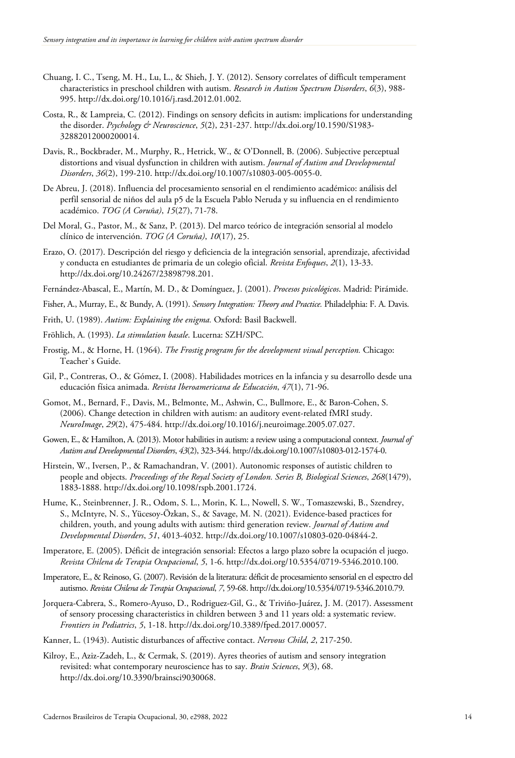- Chuang, I. C., Tseng, M. H., Lu, L., & Shieh, J. Y. (2012). Sensory correlates of difficult temperament characteristics in preschool children with autism. *Research in Autism Spectrum Disorders*, *6*(3), 988- 995. http://dx.doi.org/10.1016/j.rasd.2012.01.002.
- Costa, R., & Lampreia, C. (2012). Findings on sensory deficits in autism: implications for understanding the disorder. *Psychology & Neuroscience*, *5*(2), 231-237. http://dx.doi.org/10.1590/S1983- 32882012000200014.
- Davis, R., Bockbrader, M., Murphy, R., Hetrick, W., & O'Donnell, B. (2006). Subjective perceptual distortions and visual dysfunction in children with autism. *Journal of Autism and Developmental Disorders*, *36*(2), 199-210. http://dx.doi.org/10.1007/s10803-005-0055-0.
- De Abreu, J. (2018). Influencia del procesamiento sensorial en el rendimiento académico: análisis del perfil sensorial de niños del aula p5 de la Escuela Pablo Neruda y su influencia en el rendimiento académico. *TOG (A Coruña)*, *15*(27), 71-78.
- Del Moral, G., Pastor, M., & Sanz, P. (2013). Del marco teórico de integración sensorial al modelo clínico de intervención. *TOG (A Coruña)*, *10*(17), 25.
- Erazo, O. (2017). Descripción del riesgo y deficiencia de la integración sensorial, aprendizaje, afectividad y conducta en estudiantes de primaria de un colegio oficial. *Revista Enfoques*, *2*(1), 13-33. http://dx.doi.org/10.24267/23898798.201.
- Fernández-Abascal, E., Martín, M. D., & Domínguez, J. (2001). *Procesos psicológicos*. Madrid: Pirámide.
- Fisher, A., Murray, E., & Bundy, A. (1991). *Sensory Integration: Theory and Practice.* Philadelphia: F. A. Davis.
- Frith, U. (1989). *Autism: Explaining the enigma.* Oxford: Basil Backwell.
- Fröhlich, A. (1993). *La stimulation basale*. Lucerna: SZH/SPC.
- Frostig, M., & Horne, H. (1964). *The Frostig program for the development visual perception.* Chicago: Teacher`s Guide.
- Gil, P., Contreras, O., & Gómez, I. (2008). Habilidades motrices en la infancia y su desarrollo desde una educación física animada. *Revista Iberoamericana de Educación*, *47*(1), 71-96.
- Gomot, M., Bernard, F., Davis, M., Belmonte, M., Ashwin, C., Bullmore, E., & Baron-Cohen, S. (2006). Change detection in children with autism: an auditory event-related fMRI study. *NeuroImage*, *29*(2), 475-484. http://dx.doi.org/10.1016/j.neuroimage.2005.07.027.
- Gowen, E., & Hamilton, A. (2013). Motor habilities in autism: a review using a computacional context. *Journal of Autism and Developmental Disorders*, *43*(2), 323-344. http://dx.doi.org/10.1007/s10803-012-1574-0.
- Hirstein, W., Iversen, P., & Ramachandran, V. (2001). Autonomic responses of autistic children to people and objects. *Proceedings of the Royal Society of London. Series B, Biological Sciences*, *268*(1479), 1883-1888. http://dx.doi.org/10.1098/rspb.2001.1724.
- Hume, K., Steinbrenner, J. R., Odom, S. L., Morin, K. L., Nowell, S. W., Tomaszewski, B., Szendrey, S., McIntyre, N. S., Yücesoy-Özkan, S., & Savage, M. N. (2021). Evidence-based practices for children, youth, and young adults with autism: third generation review. *Journal of Autism and Developmental Disorders*, *51*, 4013-4032. http://dx.doi.org/10.1007/s10803-020-04844-2.
- Imperatore, E. (2005). Déficit de integración sensorial: Efectos a largo plazo sobre la ocupación el juego. *Revista Chilena de Terapia Ocupacional*, *5*, 1-6. http://dx.doi.org/10.5354/0719-5346.2010.100.
- Imperatore, E., & Reinoso, G. (2007). Revisión de la literatura: déficit de procesamiento sensorial en el espectro del autismo. *Revista Chilena de Terapia Ocupacional*, *7*, 59-68. http://dx.doi.org/10.5354/0719-5346.2010.79.
- Jorquera-Cabrera, S., Romero-Ayuso, D., Rodriguez-Gil, G., & Triviño-Juárez, J. M. (2017). Assessment of sensory processing characteristics in children between 3 and 11 years old: a systematic review. *Frontiers in Pediatrics*, *5*, 1-18. http://dx.doi.org/10.3389/fped.2017.00057.
- Kanner, L. (1943). Autistic disturbances of affective contact. *Nervous Child*, *2*, 217-250.
- Kilroy, E., Aziz-Zadeh, L., & Cermak, S. (2019). Ayres theories of autism and sensory integration revisited: what contemporary neuroscience has to say. *Brain Sciences*, *9*(3), 68. http://dx.doi.org/10.3390/brainsci9030068.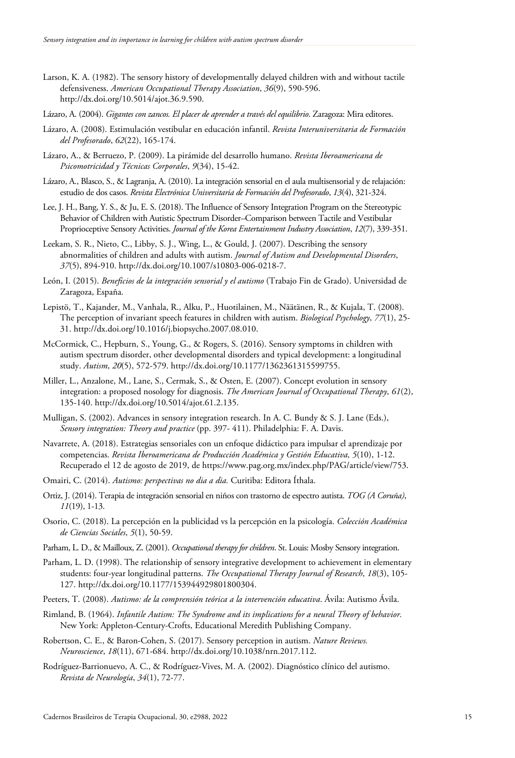- Larson, K. A. (1982). The sensory history of developmentally delayed children with and without tactile defensiveness. *American Occupational Therapy Association*, *36*(9), 590-596. http://dx.doi.org/10.5014/ajot.36.9.590.
- Lázaro, A. (2004). *Gigantes con zancos. El placer de aprender a través del equilibrio*. Zaragoza: Mira editores.
- Lázaro, A. (2008). Estimulación vestibular en educación infantil. *Revista Interuniversitaria de Formación del Profesorado*, *62*(22), 165-174.
- Lázaro, A., & Berruezo, P. (2009). La pirámide del desarrollo humano. *Revista Iberoamericana de Psicomotricidad y Técnicas Corporales*, *9*(34), 15-42.
- Lázaro, A., Blasco, S., & Lagranja, A. (2010). La integración sensorial en el aula multisensorial y de relajación: estudio de dos casos. *Revista Electrónica Universitaria de Formación del Profesorado*, *13*(4), 321-324.
- Lee, J. H., Bang, Y. S., & Ju, E. S. (2018). The Influence of Sensory Integration Program on the Stereotypic Behavior of Children with Autistic Spectrum Disorder–Comparison between Tactile and Vestibular Proprioceptive Sensory Activities. *Journal of the Korea Entertainment Industry Association*, *12*(7), 339-351.
- Leekam, S. R., Nieto, C., Libby, S. J., Wing, L., & Gould, J. (2007). Describing the sensory abnormalities of children and adults with autism. *Journal of Autism and Developmental Disorders*, *37*(5), 894-910. http://dx.doi.org/10.1007/s10803-006-0218-7.
- León, I. (2015). *Beneficios de la integración sensorial y el autismo* (Trabajo Fin de Grado). Universidad de Zaragoza, España.
- Lepistö, T., Kajander, M., Vanhala, R., Alku, P., Huotilainen, M., Näätänen, R., & Kujala, T. (2008). The perception of invariant speech features in children with autism. *Biological Psychology*, *77*(1), 25- 31. http://dx.doi.org/10.1016/j.biopsycho.2007.08.010.
- McCormick, C., Hepburn, S., Young, G., & Rogers, S. (2016). Sensory symptoms in children with autism spectrum disorder, other developmental disorders and typical development: a longitudinal study. *Autism*, *20*(5), 572-579. http://dx.doi.org/10.1177/1362361315599755.
- Miller, L., Anzalone, M., Lane, S., Cermak, S., & Osten, E. (2007). Concept evolution in sensory integration: a proposed nosology for diagnosis. *The American Journal of Occupational Therapy*, *61*(2), 135-140. http://dx.doi.org/10.5014/ajot.61.2.135.
- Mulligan, S. (2002). Advances in sensory integration research. In A. C. Bundy & S. J. Lane (Eds.), *Sensory integration: Theory and practice* (pp. 397- 411). Philadelphia: F. A. Davis.
- Navarrete, A. (2018). Estrategias sensoriales con un enfoque didáctico para impulsar el aprendizaje por competencias. *Revista Iberoamericana de Producción Académica y Gestión Educativa, 5*(10), 1-12. Recuperado el 12 de agosto de 2019, de https://www.pag.org.mx/index.php/PAG/article/view/753.
- Omairi, C. (2014). *Autismo: perspectivas no dia a dia.* Curitiba: Editora Íthala.
- Ortiz, J. (2014). Terapia de integración sensorial en niños con trastorno de espectro autista. *TOG (A Coruña)*, *11*(19), 1-13.
- Osorio, C. (2018). La percepción en la publicidad vs la percepción en la psicología. *Colección Académica de Ciencias Sociales*, *5*(1), 50-59.
- Parham, L. D., & Mailloux, Z. (2001). *Occupational therapy for children*. St. Louis: Mosby Sensory integration.
- Parham, L. D. (1998). The relationship of sensory integrative development to achievement in elementary students: four-year longitudinal patterns. *The Occupational Therapy Journal of Research*, *18*(3), 105- 127. http://dx.doi.org/10.1177/153944929801800304.
- Peeters, T. (2008). *Autismo: de la comprensión teórica a la intervención educativa*. Ávila: Autismo Ávila.
- Rimland, B. (1964). *Infantile Autism: The Syndrome and its implications for a neural Theory of behavior.* New York: Appleton-Century-Crofts, Educational Meredith Publishing Company.
- Robertson, C. E., & Baron-Cohen, S. (2017). Sensory perception in autism. *Nature Reviews. Neuroscience*, *18*(11), 671-684. http://dx.doi.org/10.1038/nrn.2017.112.
- Rodríguez-Barrionuevo, A. C., & Rodríguez-Vives, M. A. (2002). Diagnóstico clínico del autismo. *Revista de Neurología*, *34*(1), 72-77.